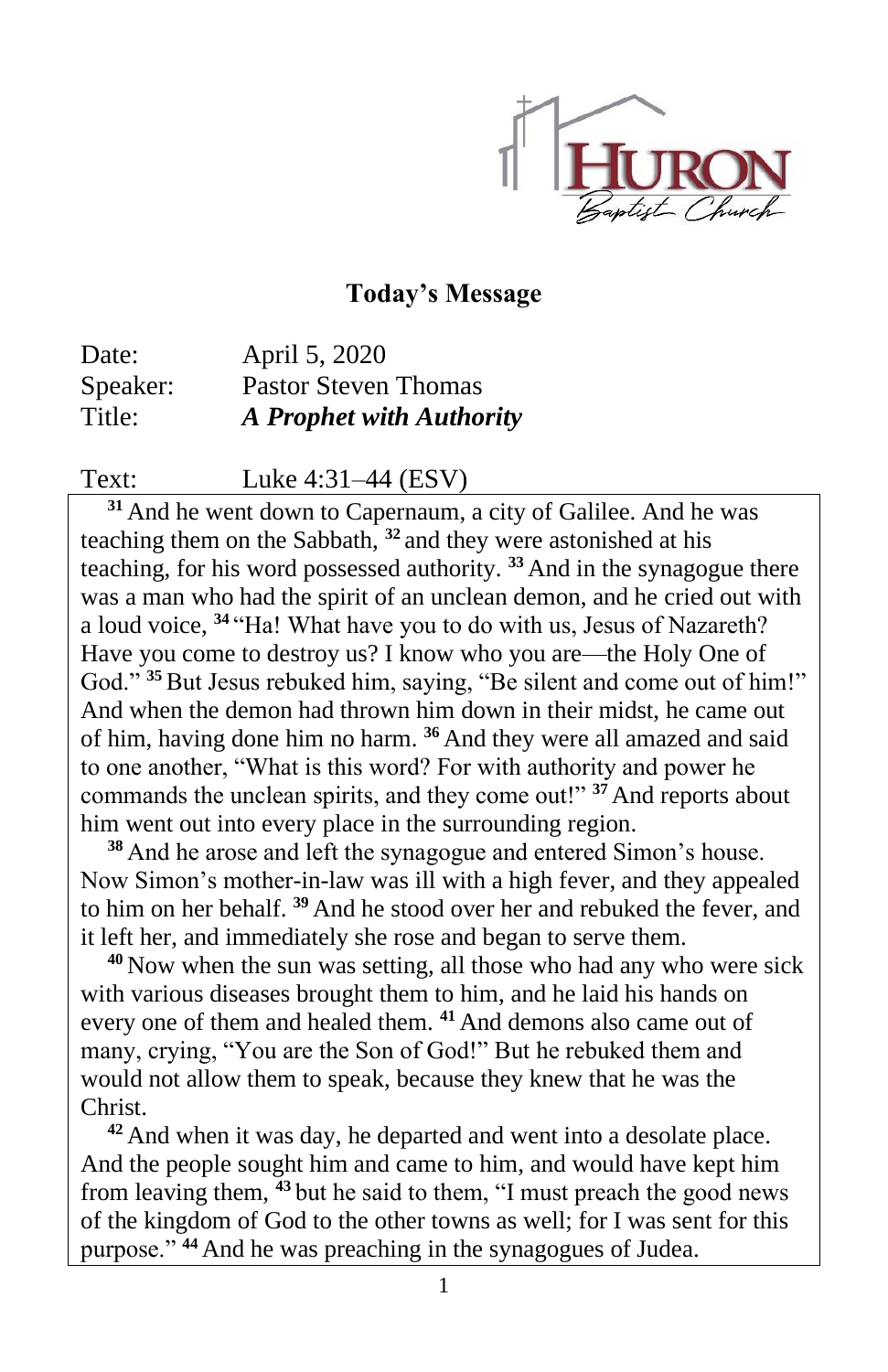

#### **Today's Message**

Date: April 5, 2020 Speaker: Pastor Steven Thomas Title: *A Prophet with Authority*

Text: Luke 4:31–44 (ESV)

**<sup>31</sup>** And he went down to Capernaum, a city of Galilee. And he was teaching them on the Sabbath, **<sup>32</sup>** and they were astonished at his teaching, for his word possessed authority. **<sup>33</sup>** And in the synagogue there was a man who had the spirit of an unclean demon, and he cried out with a loud voice, **<sup>34</sup>** "Ha! What have you to do with us, Jesus of Nazareth? Have you come to destroy us? I know who you are—the Holy One of God." <sup>35</sup> But Jesus rebuked him, saying, "Be silent and come out of him!" And when the demon had thrown him down in their midst, he came out of him, having done him no harm. **<sup>36</sup>** And they were all amazed and said to one another, "What is this word? For with authority and power he commands the unclean spirits, and they come out!" **<sup>37</sup>** And reports about him went out into every place in the surrounding region.

**<sup>38</sup>** And he arose and left the synagogue and entered Simon's house. Now Simon's mother-in-law was ill with a high fever, and they appealed to him on her behalf. **<sup>39</sup>** And he stood over her and rebuked the fever, and it left her, and immediately she rose and began to serve them.

**<sup>40</sup>** Now when the sun was setting, all those who had any who were sick with various diseases brought them to him, and he laid his hands on every one of them and healed them. **<sup>41</sup>** And demons also came out of many, crying, "You are the Son of God!" But he rebuked them and would not allow them to speak, because they knew that he was the Christ.

**<sup>42</sup>** And when it was day, he departed and went into a desolate place. And the people sought him and came to him, and would have kept him from leaving them, **<sup>43</sup>** but he said to them, "I must preach the good news of the kingdom of God to the other towns as well; for I was sent for this purpose." **<sup>44</sup>** And he was preaching in the synagogues of Judea.